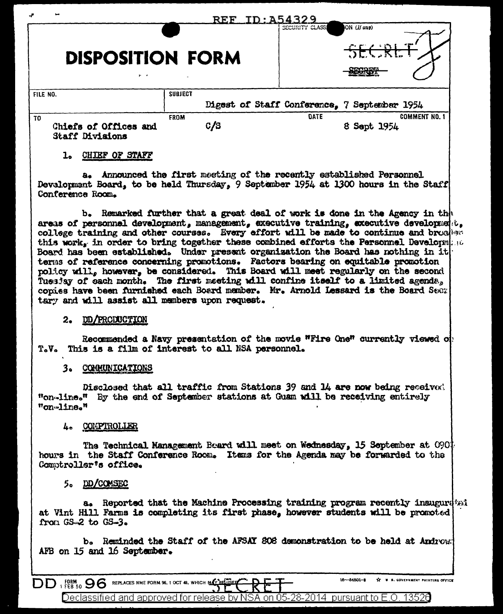| ~<br><b>DISPOSITION FORM</b><br>$\mathbf{r}$          | <b>REF</b>         | SECURITY CLASSI                              | ON (If any)<br>SECRE<br>COMPOS      |
|-------------------------------------------------------|--------------------|----------------------------------------------|-------------------------------------|
| FILE NO.                                              | <b>SUBJECT</b>     | Digest of Staff Conference, 7 September 1954 |                                     |
| TO<br>Chiefs of Offices and<br><b>Staff Divisions</b> | <b>FROM</b><br>C/S | DATE                                         | <b>COMMENT NO. 1</b><br>8 Sept 1954 |

### 1. CHIEF OF STAFF

a. Announced the first meeting of the recently established Personnel. Development Board, to be held Thursday, 9 September 1954 at 1300 hours in the Staff Conference Room.

b. Remarked further that a great deal of work is done in the Agency in the areas of personnel development, management, executive training, executive development, college training and other courses. Every effort will be made to continue and broaker this work, in order to bring together these combined efforts the Personnel Development Board has been established. Under present organization the Board has nothing in it terms of reference concerning promotions. Factors bearing on equitable promotion policy will, however, be considered. This Board will meet regularly on the second Tuesday of each month. The first meeting will confine itself to a limited agenda, copies have been furnished each Board member. Mr. Arnold Lessard is the Board Searl tary and will assist all members upon request.

#### 2. DD/PRODUCTION

Recommended a Navy presentation of the movie "Fire One" currently viewed of T.V. This is a film of interest to all NSA personnel.

# 3. COMMUNICATIONS

Disclosed that all traffic from Stations 39 and 14 are now being receivor. "on-line." By the end of September stations at Guam will be receiving entirely "on-line."

# 4. COMPTROLLER

The Technical Management Board will meet on Wednesday, 15 September at 0901 hours in the Staff Conference Room. Items for the Agenda may be forwarded to the Comptroller's office.

## 5. DD/COMSEC

a. Reported that the Machine Processing training program recently inaugurated at Vint Hill Farms is completing its first phase, however students will be promoted from  $GS = 2$  to  $GS = 3$ .

b. Reminded the Staff of the AFSAI 808 demonstration to be held at Androw. AFB on 15 and 16 September.

DD FORM 96 REPLACES NME FORM 96, 1 OCT 48, WHICH MAY BELLE

16-54801-2 XX U S. GOVERNMENT PRINTING OFFICE

Declassified and approved for release by NSA on 05-28-2014 pursuant to E.O. 13526